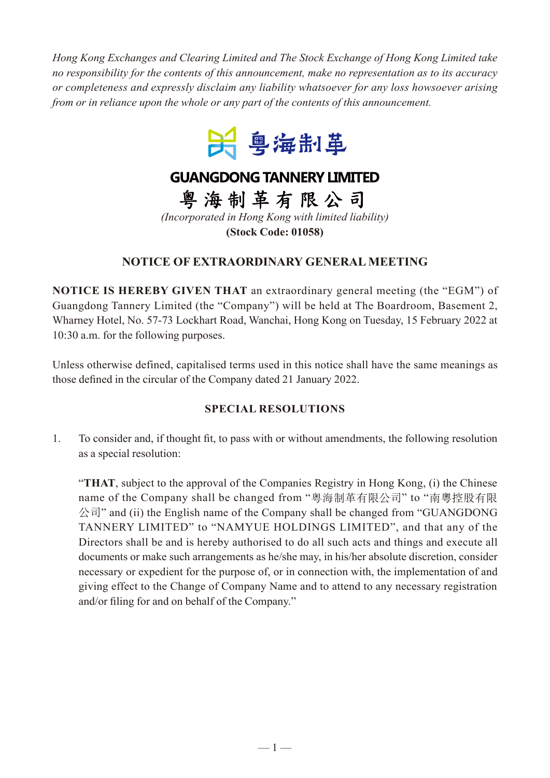*Hong Kong Exchanges and Clearing Limited and The Stock Exchange of Hong Kong Limited take no responsibility for the contents of this announcement, make no representation as to its accuracy or completeness and expressly disclaim any liability whatsoever for any loss howsoever arising from or in reliance upon the whole or any part of the contents of this announcement.*



## **GUANGDONG TANNERY LIMITED**

粤海制革有限公司 *(Incorporated in Hong Kong with limited liability)*

**(Stock Code: 01058)**

## **NOTICE OF EXTRAORDINARY GENERAL MEETING**

**NOTICE IS HEREBY GIVEN THAT** an extraordinary general meeting (the "EGM") of Guangdong Tannery Limited (the "Company") will be held at The Boardroom, Basement 2, Wharney Hotel, No. 57-73 Lockhart Road, Wanchai, Hong Kong on Tuesday, 15 February 2022 at 10:30 a.m. for the following purposes.

Unless otherwise defined, capitalised terms used in this notice shall have the same meanings as those defined in the circular of the Company dated 21 January 2022.

## **SPECIAL RESOLUTIONS**

1. To consider and, if thought fit, to pass with or without amendments, the following resolution as a special resolution:

"**THAT**, subject to the approval of the Companies Registry in Hong Kong, (i) the Chinese name of the Company shall be changed from "粵海制革有限公司" to "南粵控股有限 公司" and (ii) the English name of the Company shall be changed from "GUANGDONG TANNERY LIMITED" to "NAMYUE HOLDINGS LIMITED", and that any of the Directors shall be and is hereby authorised to do all such acts and things and execute all documents or make such arrangements as he/she may, in his/her absolute discretion, consider necessary or expedient for the purpose of, or in connection with, the implementation of and giving effect to the Change of Company Name and to attend to any necessary registration and/or filing for and on behalf of the Company."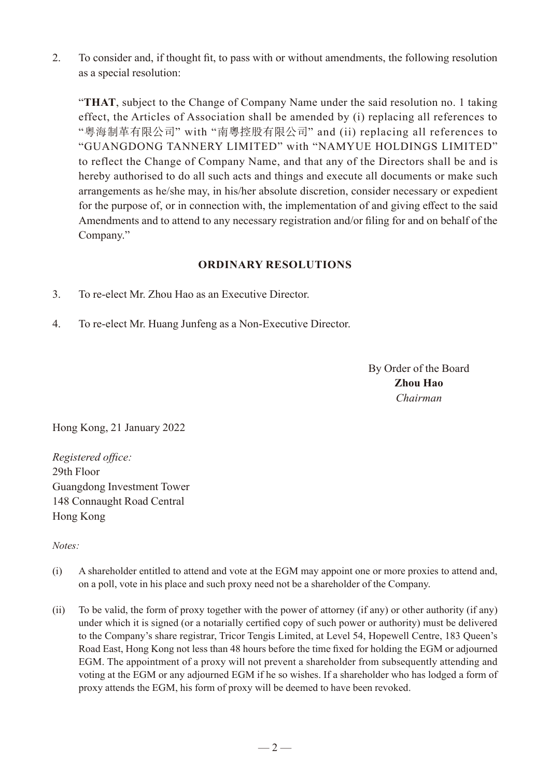2. To consider and, if thought fit, to pass with or without amendments, the following resolution as a special resolution:

"**THAT**, subject to the Change of Company Name under the said resolution no. 1 taking effect, the Articles of Association shall be amended by (i) replacing all references to "粵海制革有限公司" with "南粵控股有限公司" and (ii) replacing all references to "GUANGDONG TANNERY LIMITED" with "NAMYUE HOLDINGS LIMITED" to reflect the Change of Company Name, and that any of the Directors shall be and is hereby authorised to do all such acts and things and execute all documents or make such arrangements as he/she may, in his/her absolute discretion, consider necessary or expedient for the purpose of, or in connection with, the implementation of and giving effect to the said Amendments and to attend to any necessary registration and/or filing for and on behalf of the Company."

## **ORDINARY RESOLUTIONS**

- 3. To re-elect Mr. Zhou Hao as an Executive Director.
- 4. To re-elect Mr. Huang Junfeng as a Non-Executive Director.

By Order of the Board **Zhou Hao** *Chairman*

Hong Kong, 21 January 2022

*Registered office:* 29th Floor Guangdong Investment Tower 148 Connaught Road Central Hong Kong

*Notes:*

- (i) A shareholder entitled to attend and vote at the EGM may appoint one or more proxies to attend and, on a poll, vote in his place and such proxy need not be a shareholder of the Company.
- (ii) To be valid, the form of proxy together with the power of attorney (if any) or other authority (if any) under which it is signed (or a notarially certified copy of such power or authority) must be delivered to the Company's share registrar, Tricor Tengis Limited, at Level 54, Hopewell Centre, 183 Queen's Road East, Hong Kong not less than 48 hours before the time fixed for holding the EGM or adjourned EGM. The appointment of a proxy will not prevent a shareholder from subsequently attending and voting at the EGM or any adjourned EGM if he so wishes. If a shareholder who has lodged a form of proxy attends the EGM, his form of proxy will be deemed to have been revoked.